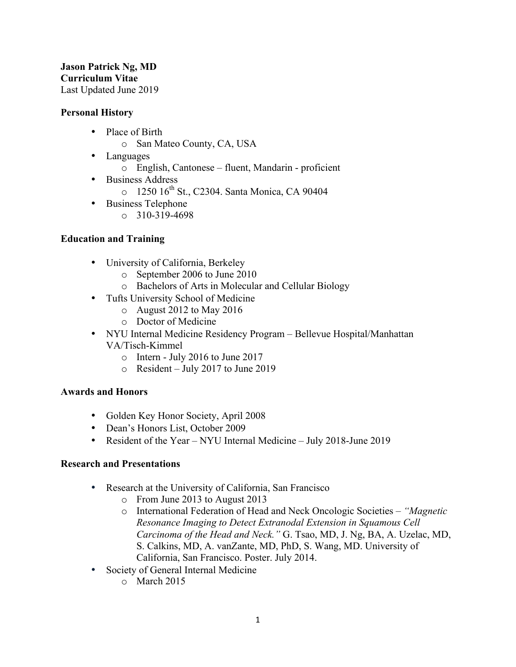#### **Jason Patrick Ng, MD Curriculum Vitae** Last Updated June 2019

#### **Personal History**

- Place of Birth
	- o San Mateo County, CA, USA
- Languages
	- o English, Cantonese fluent, Mandarin proficient
- Business Address
	- o 1250 16<sup>th</sup> St., C2304. Santa Monica, CA 90404
- Business Telephone
	- $0.310 319 4698$

## **Education and Training**

- University of California, Berkeley
	- o September 2006 to June 2010
	- o Bachelors of Arts in Molecular and Cellular Biology
- Tufts University School of Medicine
	- o August 2012 to May 2016
	- o Doctor of Medicine
- NYU Internal Medicine Residency Program Bellevue Hospital/Manhattan VA/Tisch-Kimmel
	- o Intern July 2016 to June 2017
	- o Resident July 2017 to June 2019

#### **Awards and Honors**

- Golden Key Honor Society, April 2008
- Dean's Honors List, October 2009
- Resident of the Year NYU Internal Medicine July 2018-June 2019

#### **Research and Presentations**

- Research at the University of California, San Francisco
	- o From June 2013 to August 2013
	- o International Federation of Head and Neck Oncologic Societies *"Magnetic Resonance Imaging to Detect Extranodal Extension in Squamous Cell Carcinoma of the Head and Neck."* G. Tsao, MD, J. Ng, BA, A. Uzelac, MD, S. Calkins, MD, A. vanZante, MD, PhD, S. Wang, MD. University of California, San Francisco. Poster. July 2014.
- Society of General Internal Medicine
	- o March 2015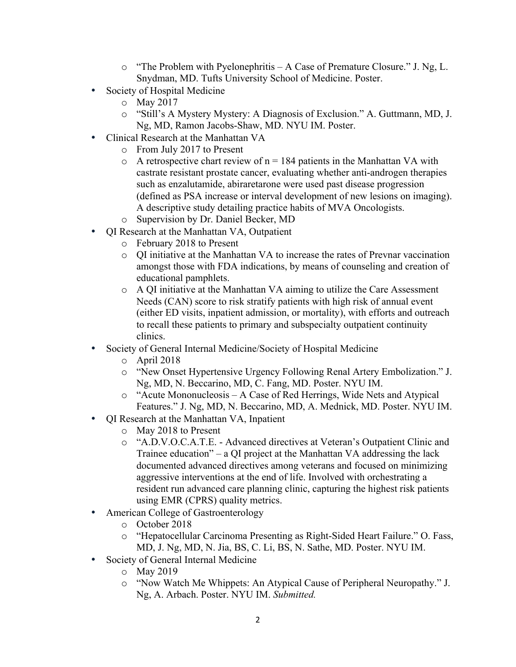- o "The Problem with Pyelonephritis A Case of Premature Closure." J. Ng, L. Snydman, MD. Tufts University School of Medicine. Poster.
- Society of Hospital Medicine
	- o May 2017
	- o "Still's A Mystery Mystery: A Diagnosis of Exclusion." A. Guttmann, MD, J. Ng, MD, Ramon Jacobs-Shaw, MD. NYU IM. Poster.
- Clinical Research at the Manhattan VA
	- o From July 2017 to Present
	- $\circ$  A retrospective chart review of n = 184 patients in the Manhattan VA with castrate resistant prostate cancer, evaluating whether anti-androgen therapies such as enzalutamide, abiraretarone were used past disease progression (defined as PSA increase or interval development of new lesions on imaging). A descriptive study detailing practice habits of MVA Oncologists.
	- o Supervision by Dr. Daniel Becker, MD
- QI Research at the Manhattan VA, Outpatient
	- o February 2018 to Present
	- o QI initiative at the Manhattan VA to increase the rates of Prevnar vaccination amongst those with FDA indications, by means of counseling and creation of educational pamphlets.
	- o A QI initiative at the Manhattan VA aiming to utilize the Care Assessment Needs (CAN) score to risk stratify patients with high risk of annual event (either ED visits, inpatient admission, or mortality), with efforts and outreach to recall these patients to primary and subspecialty outpatient continuity clinics.
- Society of General Internal Medicine/Society of Hospital Medicine
	- o April 2018
	- o "New Onset Hypertensive Urgency Following Renal Artery Embolization." J. Ng, MD, N. Beccarino, MD, C. Fang, MD. Poster. NYU IM.
	- o "Acute Mononucleosis A Case of Red Herrings, Wide Nets and Atypical Features." J. Ng, MD, N. Beccarino, MD, A. Mednick, MD. Poster. NYU IM.
- QI Research at the Manhattan VA, Inpatient
	- o May 2018 to Present
	- o "A.D.V.O.C.A.T.E. Advanced directives at Veteran's Outpatient Clinic and Trainee education" – a QI project at the Manhattan VA addressing the lack documented advanced directives among veterans and focused on minimizing aggressive interventions at the end of life. Involved with orchestrating a resident run advanced care planning clinic, capturing the highest risk patients using EMR (CPRS) quality metrics.
- American College of Gastroenterology
	- o October 2018
	- o "Hepatocellular Carcinoma Presenting as Right-Sided Heart Failure." O. Fass, MD, J. Ng, MD, N. Jia, BS, C. Li, BS, N. Sathe, MD. Poster. NYU IM.
- Society of General Internal Medicine
	- o May 2019
	- o "Now Watch Me Whippets: An Atypical Cause of Peripheral Neuropathy." J. Ng, A. Arbach. Poster. NYU IM. *Submitted.*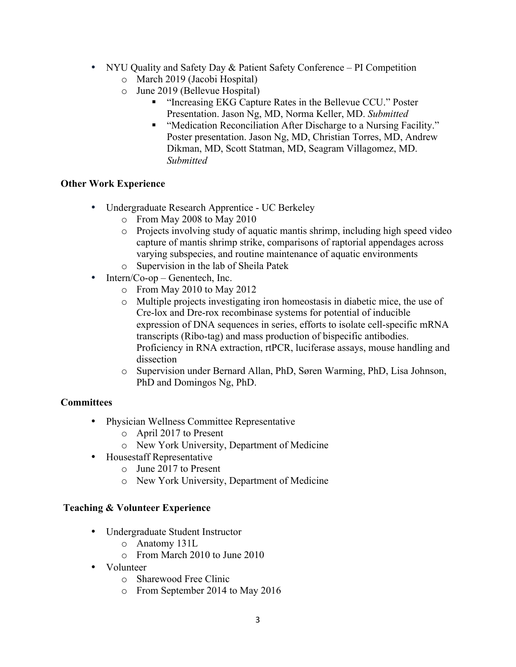- NYU Quality and Safety Day & Patient Safety Conference PI Competition o March 2019 (Jacobi Hospital)
	- o June 2019 (Bellevue Hospital)
		- "Increasing EKG Capture Rates in the Bellevue CCU." Poster Presentation. Jason Ng, MD, Norma Keller, MD. *Submitted*
		- "Medication Reconciliation After Discharge to a Nursing Facility." Poster presentation. Jason Ng, MD, Christian Torres, MD, Andrew Dikman, MD, Scott Statman, MD, Seagram Villagomez, MD. *Submitted*

# **Other Work Experience**

- Undergraduate Research Apprentice UC Berkeley
	- o From May 2008 to May 2010
	- o Projects involving study of aquatic mantis shrimp, including high speed video capture of mantis shrimp strike, comparisons of raptorial appendages across varying subspecies, and routine maintenance of aquatic environments
	- o Supervision in the lab of Sheila Patek
- Intern/Co-op Genentech, Inc.
	- o From May 2010 to May 2012
	- o Multiple projects investigating iron homeostasis in diabetic mice, the use of Cre-lox and Dre-rox recombinase systems for potential of inducible expression of DNA sequences in series, efforts to isolate cell-specific mRNA transcripts (Ribo-tag) and mass production of bispecific antibodies. Proficiency in RNA extraction, rtPCR, luciferase assays, mouse handling and dissection
	- o Supervision under Bernard Allan, PhD, Søren Warming, PhD, Lisa Johnson, PhD and Domingos Ng, PhD.

## **Committees**

- Physician Wellness Committee Representative
	- o April 2017 to Present
	- o New York University, Department of Medicine
- Housestaff Representative
	- o June 2017 to Present
	- o New York University, Department of Medicine

## **Teaching & Volunteer Experience**

- Undergraduate Student Instructor
	- o Anatomy 131L
	- o From March 2010 to June 2010
- Volunteer
	- o Sharewood Free Clinic
	- o From September 2014 to May 2016